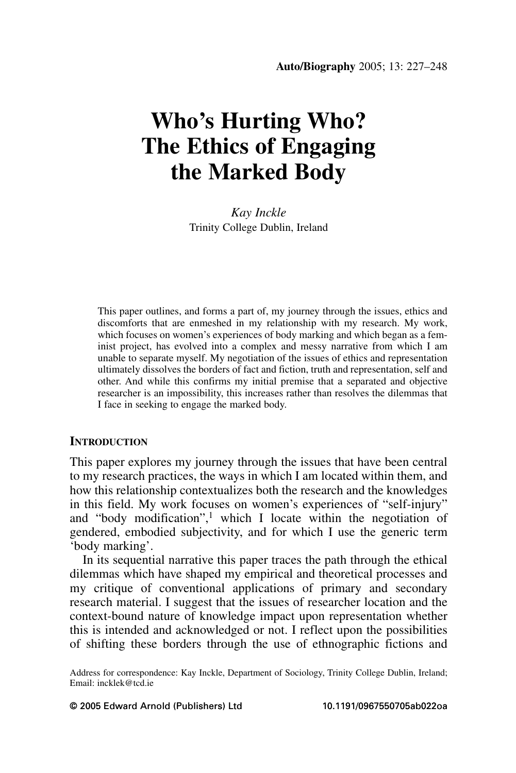# **Who's Hurting Who? The Ethics of Engaging** the Marked Body

Kay Inckle Trinity College Dublin, Ireland

This paper outlines, and forms a part of, my journey through the issues, ethics and discomforts that are enmeshed in my relationship with my research. My work, which focuses on women's experiences of body marking and which began as a feminist project, has evolved into a complex and messy narrative from which I am unable to separate myself. My negotiation of the issues of ethics and representation ultimately dissolves the borders of fact and fiction, truth and representation, self and other. And while this confirms my initial premise that a separated and objective researcher is an impossibility, this increases rather than resolves the dilemmas that I face in seeking to engage the marked body.

## **INTRODUCTION**

This paper explores my journey through the issues that have been central to my research practices, the ways in which I am located within them, and how this relationship contextualizes both the research and the knowledges in this field. My work focuses on women's experiences of "self-injury" and "body modification",<sup>1</sup> which I locate within the negotiation of gendered, embodied subjectivity, and for which I use the generic term 'body marking'.

In its sequential narrative this paper traces the path through the ethical dilemmas which have shaped my empirical and theoretical processes and my critique of conventional applications of primary and secondary research material. I suggest that the issues of researcher location and the context-bound nature of knowledge impact upon representation whether this is intended and acknowledged or not. I reflect upon the possibilities of shifting these borders through the use of ethnographic fictions and

Address for correspondence: Kay Inckle, Department of Sociology, Trinity College Dublin, Ireland; Email: incklek@tcd.ie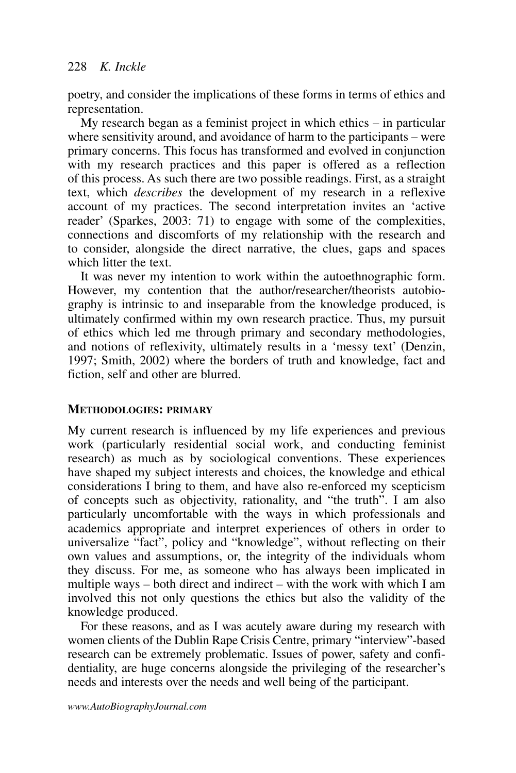poetry, and consider the implications of these forms in terms of ethics and representation.

My research began as a feminist project in which ethics  $-$  in particular where sensitivity around, and avoidance of harm to the participants – were primary concerns. This focus has transformed and evolved in conjunction with my research practices and this paper is offered as a reflection of this process. As such there are two possible readings. First, as a straight text, which *describes* the development of my research in a reflexive account of my practices. The second interpretation invites an 'active reader' (Sparkes, 2003: 71) to engage with some of the complexities, connections and discomforts of my relationship with the research and to consider, alongside the direct narrative, the clues, gaps and spaces which litter the text

It was never my intention to work within the autoethnographic form. However, my contention that the author/researcher/theorists autobiography is intrinsic to and inseparable from the knowledge produced, is ultimately confirmed within  $\overrightarrow{my}$  own research practice. Thus, my pursuit of ethics which led me through primary and secondary methodologies, and notions of reflexivity, ultimately results in a 'messy text' (Denzin, 1997; Smith, 2002) where the borders of truth and knowledge, fact and fiction, self and other are blurred.

# **METHODOLOGIES: PRIMARY**

My current research is influenced by my life experiences and previous work (particularly residential social work, and conducting feminist research) as much as by sociological conventions. These experiences have shaped my subject interests and choices, the knowledge and ethical considerations I bring to them, and have also re-enforced my scepticism of concepts such as objectivity, rationality, and "the truth". I am also particularly uncomfortable with the ways in which professionals and academics appropriate and interpret experiences of others in order to universalize "fact", policy and "knowledge", without reflecting on their<br>own values and assumptions, or, the integrity of the individuals whom they discuss. For me, as someone who has always been implicated in multiple ways – both direct and indirect – with the work with which I am involved this not only questions the ethics but also the validity of the knowledge produced.

For these reasons, and as I was acutely aware during my research with women clients of the Dublin Rape Crisis Centre, primary "interview"-based research can be extremely problematic. Issues of power, safety and confidentiality, are huge concerns alongside the privileging of the researcher's needs and interests over the needs and well being of the participant.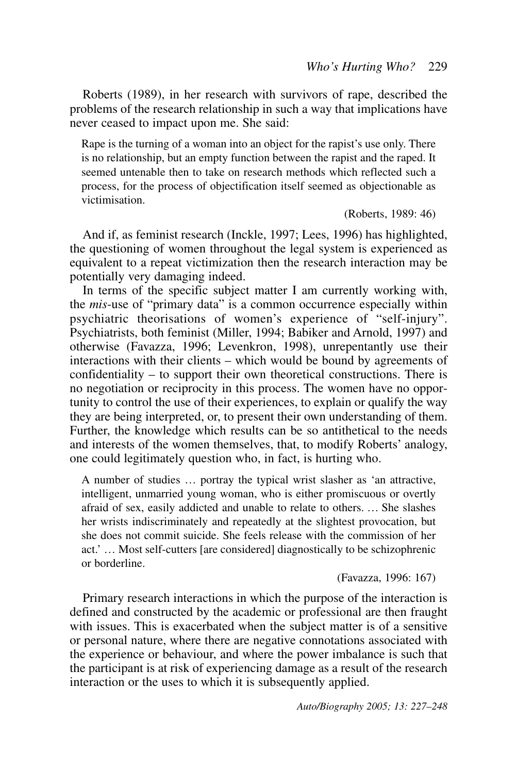Roberts (1989), in her research with survivors of rape, described the problems of the research relationship in such a way that implications have never ceased to impact upon me. She said:

Rape is the turning of a woman into an object for the rapist's use only. There is no relationship, but an empty function between the rapist and the raped. It seemed untenable then to take on research methods which reflected such a process, for the process of objectification itself seemed as objectionable as victimisation

(Roberts, 1989: 46)

And if, as feminist research (Inckle, 1997; Lees, 1996) has highlighted, the questioning of women throughout the legal system is experienced as equivalent to a repeat victimization then the research interaction may be potentially very damaging indeed.

In terms of the specific subject matter I am currently working with, the *mis*-use of "primary data" is a common occurrence especially within psychiatric theorisations of women's experience of "self-injury". Psychiatrists, both feminist (Miller, 1994; Babiker and Arnold, 1997) and otherwise (Favazza, 1996; Levenkron, 1998), unrepentantly use their interactions with their clients – which would be bound by agreements of confidentiality  $-$  to support their own theoretical constructions. There is no negotiation or reciprocity in this process. The women have no opportunity to control the use of their experiences, to explain or qualify the way they are being interpreted, or, to present their own understanding of them. Further, the knowledge which results can be so antithetical to the needs and interests of the women themselves, that, to modify Roberts' analogy, one could legitimately question who, in fact, is hurting who.

A number of studies ... portray the typical wrist slasher as 'an attractive, intelligent, unmarried young woman, who is either promiscuous or overtly afraid of sex, easily addicted and unable to relate to others. ... She slashes her wrists indiscriminately and repeatedly at the slightest provocation, but she does not commit suicide. She feels release with the commission of her act.'... Most self-cutters [are considered] diagnostically to be schizophrenic or borderline

(Favazza, 1996: 167)

Primary research interactions in which the purpose of the interaction is defined and constructed by the academic or professional are then fraught with issues. This is exacerbated when the subject matter is of a sensitive or personal nature, where there are negative connotations associated with the experience or behaviour, and where the power imbalance is such that the participant is at risk of experiencing damage as a result of the research interaction or the uses to which it is subsequently applied.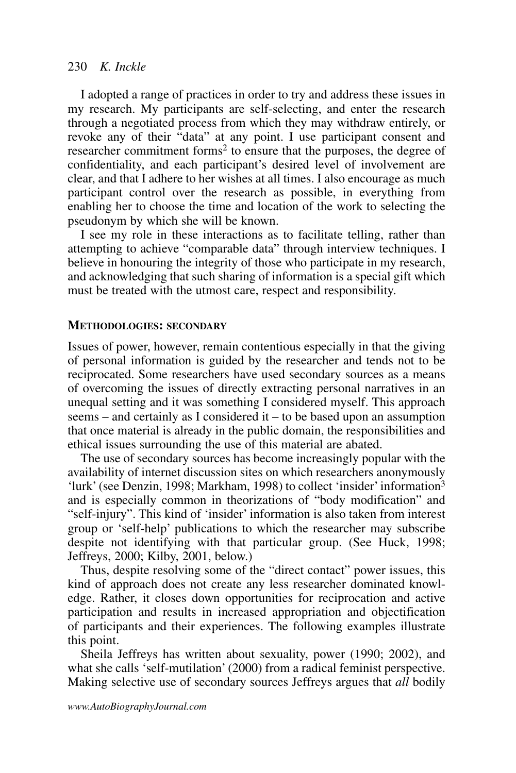I adopted a range of practices in order to try and address these issues in my research. My participants are self-selecting, and enter the research through a negotiated process from which they may withdraw entirely, or revoke any of their "data" at any point. I use participant consent and<br>researcher commitment forms<sup>2</sup> to ensure that the purposes, the degree of confidentiality, and each participant's desired level of involvement are clear, and that I adhere to her wishes at all times. I also encourage as much participant control over the research as possible, in everything from enabling her to choose the time and location of the work to selecting the pseudonym by which she will be known.

I see my role in these interactions as to facilitate telling, rather than attempting to achieve "comparable data" through interview techniques. I believe in honouring the integrity of those who participate in my research, and acknowledging that such sharing of information is a special gift which must be treated with the utmost care, respect and responsibility.

# **METHODOLOGIES: SECONDARY**

Issues of power, however, remain contentious especially in that the giving of personal information is guided by the researcher and tends not to be reciprocated. Some researchers have used secondary sources as a means of overcoming the issues of directly extracting personal narratives in an unequal setting and it was something I considered myself. This approach seems – and certainly as I considered it – to be based upon an assumption that once material is already in the public domain, the responsibilities and ethical issues surrounding the use of this material are abated.

The use of secondary sources has become increasingly popular with the availability of internet discussion sites on which researchers anonymously 'lurk' (see Denzin, 1998; Markham, 1998) to collect 'insider' information<sup>3</sup> and is especially common in theorizations of "body modification" and "self-injury". This kind of 'insider' information is also taken from interest group or 'self-help' publications to which the researcher may subscribe despite not identifying with that particular group. (See Huck, 1998; Jeffreys, 2000; Kilby, 2001, below.)

Thus, despite resolving some of the "direct contact" power issues, this kind of approach does not create any less researcher dominated knowledge. Rather, it closes down opportunities for reciprocation and active participation and results in increased appropriation and objectification of participants and their experiences. The following examples illustrate this point.

Sheila Jeffreys has written about sexuality, power (1990; 2002), and what she calls 'self-mutilation' (2000) from a radical feminist perspective. Making selective use of secondary sources Jeffreys argues that *all* bodily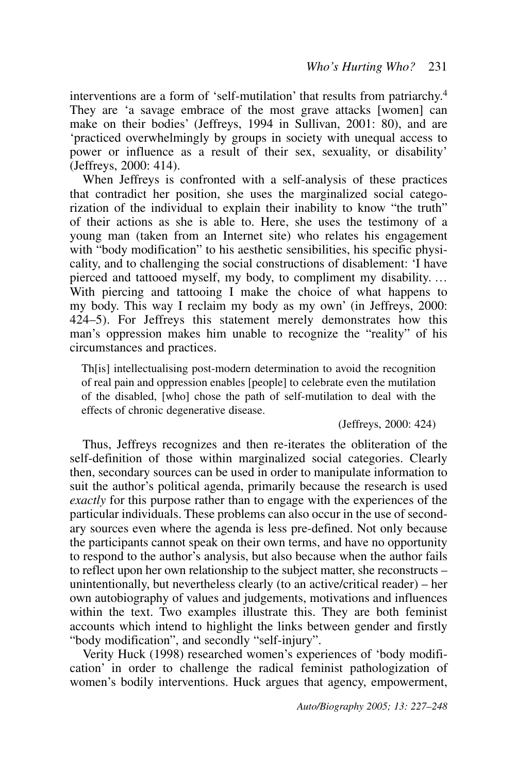interventions are a form of 'self-mutilation' that results from patriarchy.<sup>4</sup> They are 'a savage embrace of the most grave attacks [women] can<br>make on their bodies' (Jeffreys, 1994 in Sullivan, 2001: 80), and are 'practiced overwhelmingly by groups in society with unequal access to power or influence as a result of their sex, sexuality, or disability'  $C$  (Jeffreys, 2000: 414).

When Jeffreys is confronted with a self-analysis of these practices that contradict her position, she uses the marginalized social categorization of the individual to explain their inability to know "the truth" of their actions as she is able to. Here, she uses the testimony of a young man (taken from an Internet site) who relates his engagement with "body modification" to his aesthetic sensibilities, his specific physicality, and to challenging the social constructions of disablement: 'I have pierced and tattooed myself, my body, to compliment my disability.... With piercing and tattooing I make the choice of what happens to my body. This way I reclaim my body as my own' (in Jeffreys, 2000: 424–5). For Jeffreys this statement merely demonstrates how this man's oppression makes him unable to recognize the "reality" of his circumstances and practices.

Th[is] intellectualising post-modern determination to avoid the recognition of real pain and oppression enables [people] to celebrate even the mutilation of the disabled, who chose the path of self-mutilation to deal with the effects of chronic degenerative disease.

(Jeffreys, 2000: 424)

Thus, Jeffreys recognizes and then re-iterates the obliteration of the self-definition of those within marginalized social categories. Clearly then, secondary sources can be used in order to manipulate information to suit the author's political agenda, primarily because the research is used *exactly* for this purpose rather than to engage with the experiences of the particular individuals. These problems can also occur in the use of secondary sources even where the agenda is less pre-defined. Not only because the participants cannot speak on their own terms, and have no opportunity to respond to the author's analysis, but also because when the author fails to reflect upon her own relationship to the subject matter, she reconstructs  $$ unintentionally, but nevertheless clearly (to an active/critical reader) – her own autobiography of values and judgements, motivations and influences within the text. Two examples illustrate this. They are both feminist accounts which intend to highlight the links between gender and firstly "body modification", and secondly "self-injury".

Verity Huck (1998) researched women's experiences of 'body modification' in order to challenge the radical feminist pathologization of women's bodily interventions. Huck argues that agency, empowerment,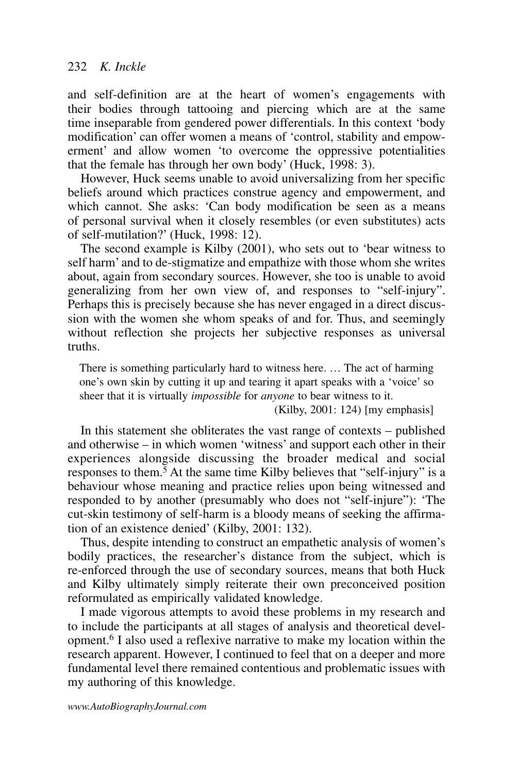and self-definition are at the heart of women's engagements with their bodies through tattooing and piercing which are at the same time inseparable from gendered power differentials. In this context 'body modification' can offer women a means of 'control, stability and empowerment' and allow women 'to overcome the oppressive potentialities that the female has through her own body' (Huck, 1998: 3).

However, Huck seems unable to avoid universalizing from her specific beliefs around which practices construe agency and empowerment, and which cannot. She asks: 'Can body modification be seen as a means of personal survival when it closely resembles (or even substitutes) acts of self-mutilation?' (Huck, 1998: 12).

The second example is Kilby (2001), who sets out to 'bear witness to self harm' and to de-stigmatize and empathize with those whom she writes about, again from secondary sources. However, she too is unable to avoid generalizing from her own view of, and responses to "self-injury". Perhaps this is precisely because she has never engaged in a direct discussion with the women she whom speaks of and for. Thus, and seemingly without reflection she projects her subjective responses as universal truths

There is something particularly hard to witness here. ... The act of harming one's own skin by cutting it up and tearing it apart speaks with a 'voice' so sheer that it is virtually *impossible* for *anyone* to bear witness to it.

 $(Kilby, 2001: 124)$  [my emphasis]

In this statement she obliterates the vast range of contexts – published and otherwise – in which women 'witness' and support each other in their experiences alongside discussing the broader medical and social responses to them.<sup>5</sup> At the same time Kilby believes that "self-injury" is a behaviour whose meaning and practice relies upon being witnessed and responded to by another (presumably who does not "self-injure"): 'The cut-skin testimony of self-harm is a bloody means of seeking the affirmation of an existence denied' (Kilby, 2001: 132).

Thus, despite intending to construct an empathetic analysis of women's bodily practices, the researcher's distance from the subject, which is re-enforced through the use of secondary sources, means that both Huck and Kilby ultimately simply reiterate their own preconceived position reformulated as empirically validated knowledge.

I made vigorous attempts to avoid these problems in my research and to include the participants at all stages of analysis and theoretical development.<sup>6</sup> I also used a reflexive narrative to make my location within the research apparent. However, I continued to feel that on a deeper and more fundamental level there remained contentious and problematic issues with my authoring of this knowledge.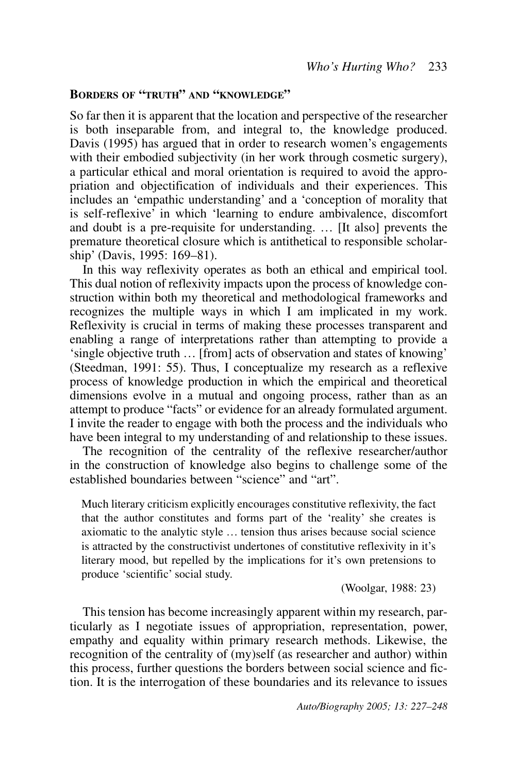# **BORDERS OF "TRUTH" AND "KNOWLEDGE"**

So far then it is apparent that the location and perspective of the researcher is both inseparable from, and integral to, the knowledge produced. Davis (1995) has argued that in order to research women's engagements with their embodied subjectivity (in her work through cosmetic surgery), a particular ethical and moral orientation is required to avoid the appropriation and objectification of individuals and their experiences. This includes an 'empathic understanding' and a 'conception of morality that is self-reflexive<sup>2</sup> in which 'learning to endure ambivalence, discomfort and doubt is a pre-requisite for understanding. ... [It also] prevents the premature theoretical closure which is antithetical to responsible scholarship' (Davis, 1995: 169–81).

In this way reflexivity operates as both an ethical and empirical tool. This dual notion of reflexivity impacts upon the process of knowledge construction within both my theoretical and methodological frameworks and recognizes the multiple ways in which I am implicated in my work. Reflexivity is crucial in terms of making these processes transparent and enabling a range of interpretations rather than attempting to provide a 'single objective truth ... [from] acts of observation and states of knowing' (Steedman, 1991: 55). Thus, I conceptualize my research as a reflexive process of knowledge production in which the empirical and theoretical dimensions evolve in a mutual and ongoing process, rather than as an attempt to produce "facts" or evidence for an already formulated argument. I invite the reader to engage with both the process and the individuals who have been integral to my understanding of and relationship to these issues.

The recognition of the centrality of the reflexive researcher/author in the construction of knowledge also begins to challenge some of the established boundaries between "science" and "art"

Much literary criticism explicitly encourages constitutive reflexivity, the fact that the author constitutes and forms part of the 'reality' she creates is axiomatic to the analytic style ... tension thus arises because social science is attracted by the constructivist undertones of constitutive reflexivity in it's literary mood, but repelled by the implications for it's own pretensions to produce 'scientific' social study.

(Woolgar, 1988: 23)

This tension has become increasingly apparent within my research, particularly as I negotiate issues of appropriation, representation, power, empathy and equality within primary research methods. Likewise, the recognition of the centrality of  $(my)$ self (as researcher and author) within this process, further questions the borders between social science and fiction. It is the interrogation of these boundaries and its relevance to issues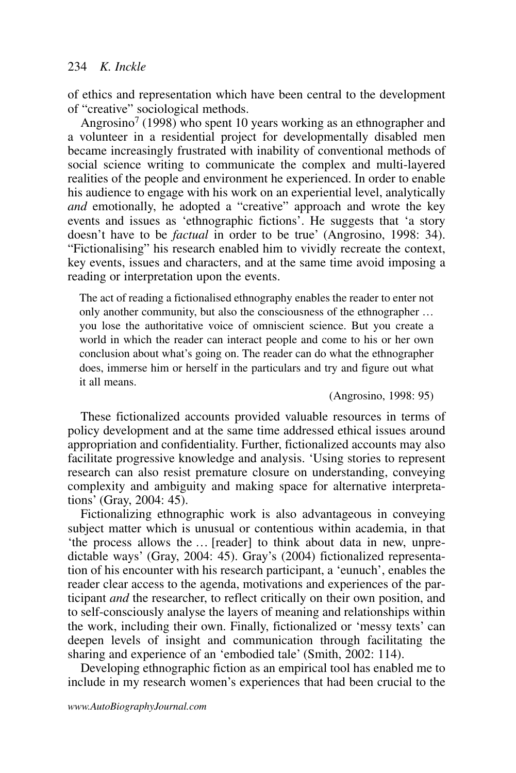of ethics and representation which have been central to the development of "creative" sociological methods.

Angrosino<sup>7</sup> (1998) who spent 10 years working as an ethnographer and a volunteer in a residential project for developmentally disabled men became increasingly frustrated with inability of conventional methods of social science writing to communicate the complex and multi-layered realities of the people and environment he experienced. In order to enable his audience to engage with his work on an experiential level, analytically and emotionally, he adopted a "creative" approach and wrote the key events and issues as 'ethnographic fictions'. He suggests that 'a story doesn't have to be *factual* in order to be true' (Angrosino, 1998: 34). "Fictionalising" his research enabled him to vividly recreate the context, key events, issues and characters, and at the same time avoid imposing a reading or interpretation upon the events.

The act of reading a fictionalised ethnography enables the reader to enter not only another community, but also the consciousness of the ethnographer ... you lose the authoritative voice of omniscient science. But you create a world in which the reader can interact people and come to his or her own conclusion about what's going on. The reader can do what the ethnographer does, immerse him or herself in the particulars and try and figure out what it all means

(Angrosino, 1998: 95)

These fictionalized accounts provided valuable resources in terms of policy development and at the same time addressed ethical issues around appropriation and confidentiality. Further, fictionalized accounts may also facilitate progressive knowledge and analysis. 'Using stories to represent research can also resist premature closure on understanding, conveying complexity and ambiguity and making space for alternative interpretations' (Gray, 2004:  $45$ ).

Fictionalizing ethnographic work is also advantageous in conveying subject matter which is unusual or contentious within academia, in that 'the process allows the ... [reader] to think about data in new, unpredictable ways' (Gray, 2004: 45). Gray's (2004) fictionalized representation of his encounter with his research participant, a 'eunuch', enables the reader clear access to the agenda, motivations and experiences of the participant *and* the researcher, to reflect critically on their own position, and to self-consciously analyse the layers of meaning and relationships within the work, including their own. Finally, fictionalized or 'messy texts' can deepen levels of insight and communication through facilitating the sharing and experience of an 'embodied tale' (Smith, 2002: 114).

Developing ethnographic fiction as an empirical tool has enabled me to include in my research women's experiences that had been crucial to the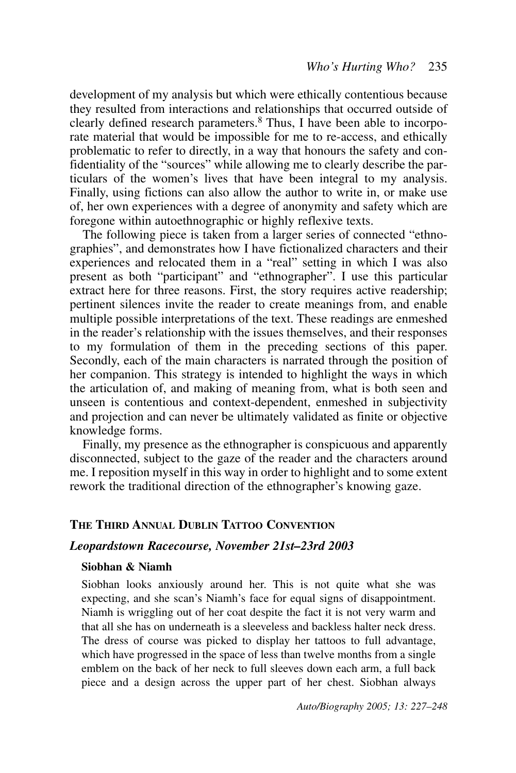development of my analysis but which were ethically contentious because they resulted from interactions and relationships that occurred outside of clearly defined research parameters.<sup>8</sup> Thus, I have been able to incorporate material that would be impossible for me to re-access, and ethically problematic to refer to directly, in a way that honours the safety and confidentiality of the "sources" while allowing me to clearly describe the particulars of the women's lives that have been integral to my analysis. Finally, using fictions can also allow the author to write in, or make use of, her own experiences with a degree of anonymity and safety which are foregone within autoethnographic or highly reflexive texts.

The following piece is taken from a larger series of connected "ethnographies", and demonstrates how I have fictionalized characters and their experiences and relocated them in a "real" setting in which I was also present as both "participant" and "ethnographer". I use this particular extract here for three reasons. First, the story requires active readership; pertinent silences invite the reader to create meanings from, and enable multiple possible interpretations of the text. These readings are enmeshed in the reader's relationship with the issues themselves, and their responses to my formulation of them in the preceding sections of this paper. Secondly, each of the main characters is narrated through the position of her companion. This strategy is intended to highlight the ways in which the articulation of, and making of meaning from, what is both seen and unseen is contentious and context-dependent, enmeshed in subjectivity and projection and can never be ultimately validated as finite or objective knowledge forms.

Finally, my presence as the ethnographer is conspicuous and apparently disconnected, subject to the gaze of the reader and the characters around me. I reposition myself in this way in order to highlight and to some extent rework the traditional direction of the ethnographer's knowing gaze.

# THE THIRD ANNUAL DUBLIN TATTOO CONVENTION

## Leopardstown Racecourse, November 21st-23rd 2003

#### Siobhan & Niamh

Siobhan looks anxiously around her. This is not quite what she was expecting, and she scan's Niamh's face for equal signs of disappointment. Niamh is wriggling out of her coat despite the fact it is not very warm and that all she has on underneath is a sleeveless and backless halter neck dress. The dress of course was picked to display her tattoos to full advantage, which have progressed in the space of less than twelve months from a single emblem on the back of her neck to full sleeves down each arm, a full back piece and a design across the upper part of her chest. Siobhan always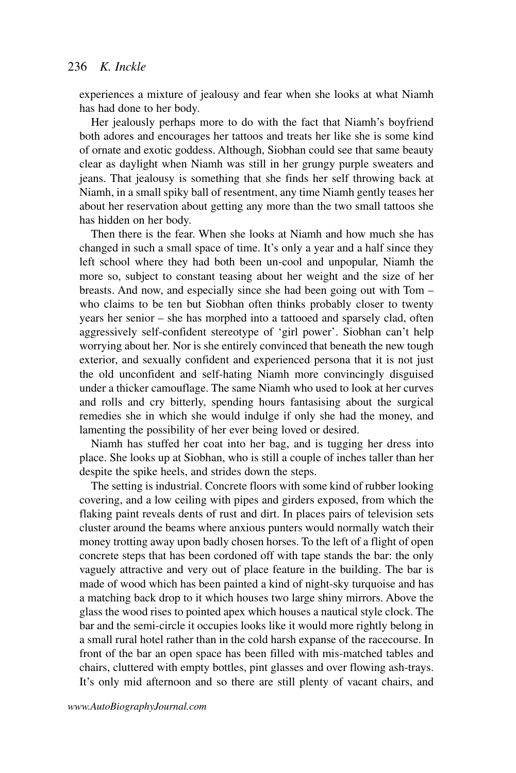experiences a mixture of jealousy and fear when she looks at what Niamh has had done to her body.

Her jealously perhaps more to do with the fact that Niamh's boyfriend both adores and encourages her tattoos and treats her like she is some kind of ornate and exotic goddess. Although, Siobhan could see that same beauty clear as daylight when Niamh was still in her grungy purple sweaters and jeans. That jealousy is something that she finds her self throwing back at Niamh, in a small spiky ball of resentment, any time Niamh gently teases her about her reservation about getting any more than the two small tattoos she has hidden on her body.

Then there is the fear. When she looks at Niamh and how much she has changed in such a small space of time. It's only a year and a half since they left school where they had both been un-cool and unpopular, Niamh the more so, subject to constant teasing about her weight and the size of her breasts. And now, and especially since she had been going out with Tom – who claims to be ten but Siobhan often thinks probably closer to twenty years her senior – she has morphed into a tattooed and sparsely clad, often aggressively self-confident stereotype of 'girl power'. Siobhan can't help worrying about her. Nor is she entirely convinced that beneath the new tough exterior, and sexually confident and experienced persona that it is not just the old unconfident and self-hating Niamh more convincingly disguised under a thicker camouflage. The same Niamh who used to look at her curves and rolls and cry bitterly, spending hours fantasising about the surgical remedies she in which she would indulge if only she had the money, and lamenting the possibility of her ever being loved or desired.

Niamh has stuffed her coat into her bag, and is tugging her dress into place. She looks up at Siobhan, who is still a couple of inches taller than her despite the spike heels, and strides down the steps.

The setting is industrial. Concrete floors with some kind of rubber looking covering, and a low ceiling with pipes and girders exposed, from which the flaking paint reveals dents of rust and dirt. In places pairs of television sets cluster around the beams where anxious punters would normally watch their money trotting away upon badly chosen horses. To the left of a flight of open concrete steps that has been cordoned off with tape stands the bar: the only vaguely attractive and very out of place feature in the building. The bar is made of wood which has been painted a kind of night-sky turquoise and has a matching back drop to it which houses two large shiny mirrors. Above the glass the wood rises to pointed apex which houses a nautical style clock. The bar and the semi-circle it occupies looks like it would more rightly belong in a small rural hotel rather than in the cold harsh expanse of the racecourse. In front of the bar an open space has been filled with mis-matched tables and chairs, cluttered with empty bottles, pint glasses and over flowing ash-trays. It's only mid afternoon and so there are still plenty of vacant chairs, and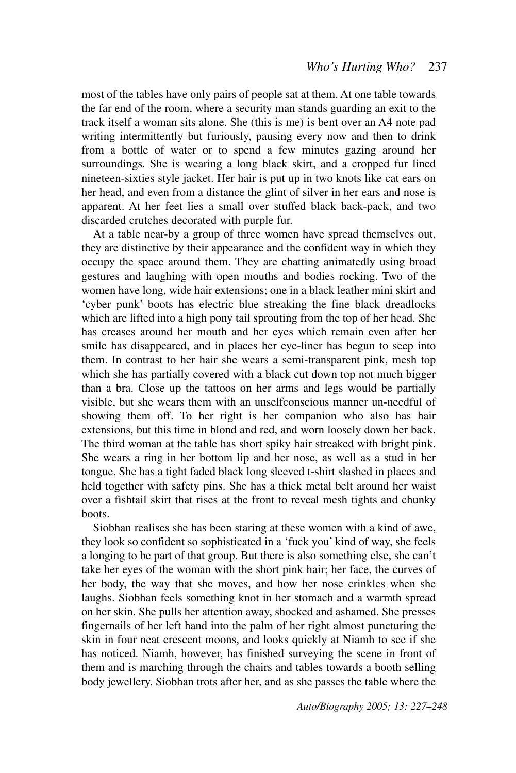most of the tables have only pairs of people sat at them. At one table towards the far end of the room, where a security man stands guarding an exit to the track itself a woman sits alone. She (this is me) is bent over an A4 note pad writing intermittently but furiously, pausing every now and then to drink from a bottle of water or to spend a few minutes gazing around her surroundings. She is wearing a long black skirt, and a cropped fur lined nineteen-sixties style jacket. Her hair is put up in two knots like cat ears on her head, and even from a distance the glint of silver in her ears and nose is apparent. At her feet lies a small over stuffed black back-pack, and two discarded crutches decorated with purple fur.

At a table near-by a group of three women have spread themselves out, they are distinctive by their appearance and the confident way in which they occupy the space around them. They are chatting animatedly using broad gestures and laughing with open mouths and bodies rocking. Two of the women have long, wide hair extensions; one in a black leather mini skirt and 'cyber punk' boots has electric blue streaking the fine black dreadlocks which are lifted into a high pony tail sprouting from the top of her head. She has creases around her mouth and her eyes which remain even after her smile has disappeared, and in places her eye-liner has begun to seep into them. In contrast to her hair she wears a semi-transparent pink, mesh top which she has partially covered with a black cut down top not much bigger than a bra. Close up the tattoos on her arms and legs would be partially visible, but she wears them with an unselfconscious manner un-needful of showing them off. To her right is her companion who also has hair extensions, but this time in blond and red, and worn loosely down her back. The third woman at the table has short spiky hair streaked with bright pink. She wears a ring in her bottom lip and her nose, as well as a stud in her tongue. She has a tight faded black long sleeved t-shirt slashed in places and held together with safety pins. She has a thick metal belt around her waist over a fishtail skirt that rises at the front to reveal mesh tights and chunky hoots

Siobhan realises she has been staring at these women with a kind of awe. they look so confident so sophisticated in a 'fuck you' kind of way, she feels a longing to be part of that group. But there is also something else, she can't take her eyes of the woman with the short pink hair; her face, the curves of her body, the way that she moves, and how her nose crinkles when she laughs. Siobhan feels something knot in her stomach and a warmth spread on her skin. She pulls her attention away, shocked and ashamed. She presses fingernails of her left hand into the palm of her right almost puncturing the skin in four neat crescent moons, and looks quickly at Niamh to see if she has noticed. Niamh, however, has finished surveying the scene in front of them and is marching through the chairs and tables towards a booth selling body jewellery. Siobhan trots after her, and as she passes the table where the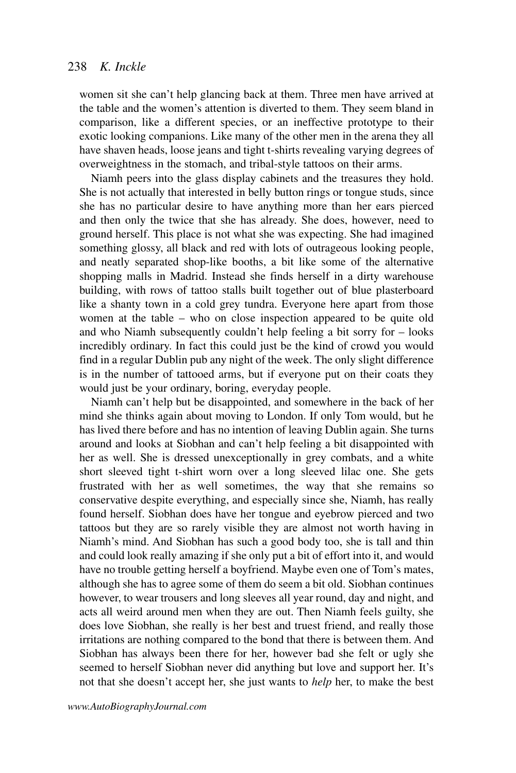women sit she can't help glancing back at them. Three men have arrived at the table and the women's attention is diverted to them. They seem bland in comparison, like a different species, or an ineffective prototype to their exotic looking companions. Like many of the other men in the arena they all have shaven heads, loose jeans and tight t-shirts revealing varying degrees of overweightness in the stomach, and tribal-style tattoos on their arms.

Niamh peers into the glass display cabinets and the treasures they hold. She is not actually that interested in belly button rings or tongue studs, since she has no particular desire to have anything more than her ears pierced and then only the twice that she has already. She does, however, need to ground herself. This place is not what she was expecting. She had imagined something glossy, all black and red with lots of outrageous looking people, and neatly separated shop-like booths, a bit like some of the alternative shopping malls in Madrid. Instead she finds herself in a dirty warehouse building, with rows of tattoo stalls built together out of blue plasterboard like a shanty town in a cold grey tundra. Everyone here apart from those women at the table – who on close inspection appeared to be quite old and who Niamh subsequently couldn't help feeling a bit sorry for – looks incredibly ordinary. In fact this could just be the kind of crowd you would find in a regular Dublin pub any night of the week. The only slight difference is in the number of tattooed arms, but if everyone put on their coats they would just be your ordinary, boring, everyday people.

Niamh can't help but be disappointed, and somewhere in the back of her mind she thinks again about moving to London. If only Tom would, but he has lived there before and has no intention of leaving Dublin again. She turns around and looks at Siobhan and can't help feeling a bit disappointed with her as well. She is dressed unexceptionally in grey combats, and a white short sleeved tight t-shirt worn over a long sleeved lilac one. She gets frustrated with her as well sometimes, the way that she remains so conservative despite everything, and especially since she, Niamh, has really found herself. Siobhan does have her tongue and eyebrow pierced and two tattoos but they are so rarely visible they are almost not worth having in Niamh's mind. And Siobhan has such a good body too, she is tall and thin and could look really amazing if she only put a bit of effort into it, and would have no trouble getting herself a boyfriend. Maybe even one of Tom's mates, although she has to agree some of them do seem a bit old. Siobhan continues however, to wear trousers and long sleeves all year round, day and night, and acts all weird around men when they are out. Then Niamh feels guilty, she does love Siobhan, she really is her best and truest friend, and really those irritations are nothing compared to the bond that there is between them. And Siobhan has always been there for her, however bad she felt or ugly she seemed to herself Siobhan never did anything but love and support her. It's not that she doesn't accept her, she just wants to *help* her, to make the best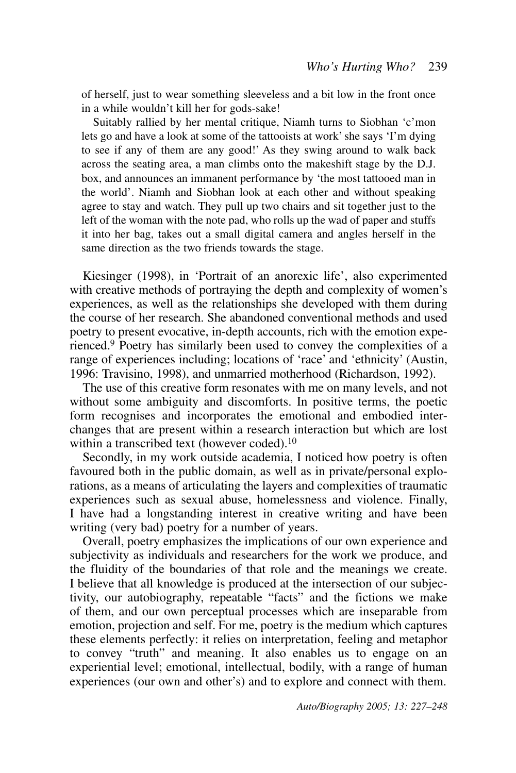of herself, just to wear something sleeveless and a bit low in the front once in a while wouldn't kill her for gods-sake!

Suitably rallied by her mental critique, Niamh turns to Siobhan 'c'mon lets go and have a look at some of the tattooists at work' she says 'I'm dying to see if any of them are any good!' As they swing around to walk back across the seating area, a man climbs onto the makeshift stage by the D.J. box, and announces an immanent performance by 'the most tattooed man in the world'. Niamh and Siobhan look at each other and without speaking agree to stay and watch. They pull up two chairs and sit together just to the left of the woman with the note pad, who rolls up the wad of paper and stuffs it into her bag, takes out a small digital camera and angles herself in the same direction as the two friends towards the stage.

Kiesinger (1998), in 'Portrait of an anorexic life', also experimented with creative methods of portraying the depth and complexity of women's experiences, as well as the relationships she developed with them during the course of her research. She abandoned conventional methods and used poetry to present evocative, in-depth accounts, rich with the emotion experienced.<sup>9</sup> Poetry has similarly been used to convey the complexities of a range of experiences including; locations of 'race' and 'ethnicity' (Austin, 1996: Travisino, 1998), and unmarried motherhood (Richardson, 1992).

The use of this creative form resonates with me on many levels, and not without some ambiguity and discomforts. In positive terms, the poetic form recognises and incorporates the emotional and embodied interchanges that are present within a research interaction but which are lost within a transcribed text (however coded).<sup>10</sup>

Secondly, in my work outside academia, I noticed how poetry is often favoured both in the public domain, as well as in private/personal explorations, as a means of articulating the layers and complexities of traumatic experiences such as sexual abuse, homelessness and violence. Finally, I have had a longstanding interest in creative writing and have been writing (very bad) poetry for a number of years.

Overall, poetry emphasizes the implications of our own experience and subjectivity as individuals and researchers for the work we produce, and the fluidity of the boundaries of that role and the meanings we create. I believe that all knowledge is produced at the intersection of our subjectivity, our autobiography, repeatable "facts" and the fictions we make of them, and our own perceptual processes which are inseparable from emotion, projection and self. For me, poetry is the medium which captures these elements perfectly: it relies on interpretation, feeling and metaphor to convey "truth" and meaning. It also enables us to engage on an experiential level; emotional, intellectual, bodily, with a range of human experiences (our own and other's) and to explore and connect with them.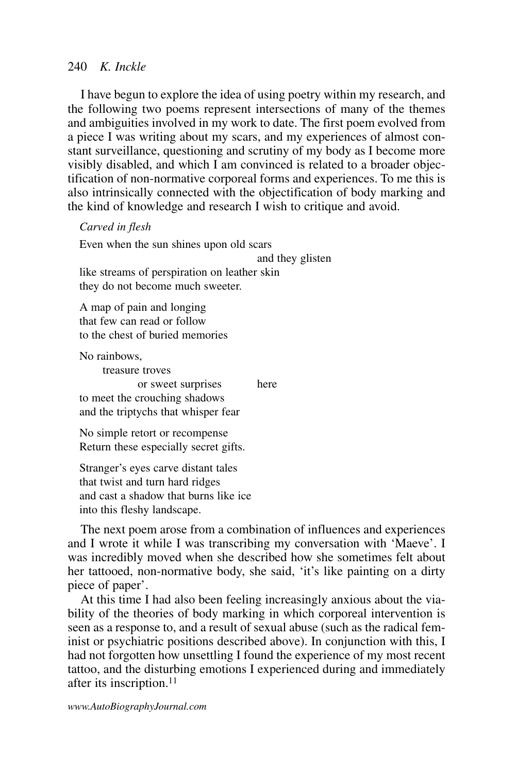# 240  $K$ . Inckle

I have begun to explore the idea of using poetry within my research, and the following two poems represent intersections of many of the themes and ambiguities involved in my work to date. The first poem evolved from a piece I was writing about my scars, and my experiences of almost constant surveillance, questioning and scrutiny of my body as I become more visibly disabled, and which I am convinced is related to a broader objectification of non-normative corporeal forms and experiences. To me this is also intrinsically connected with the objectification of body marking and the kind of knowledge and research I wish to critique and avoid.

Carved in flesh

Even when the sun shines upon old scars and they glisten like streams of perspiration on leather skin they do not become much sweeter.

A map of pain and longing that few can read or follow to the chest of buried memories

No rainbows,

treasure troves or sweet surprises here to meet the crouching shadows and the triptychs that whisper fear

No simple retort or recompense Return these especially secret gifts.

Stranger's eyes carve distant tales that twist and turn hard ridges and cast a shadow that burns like ice into this fleshy landscape.

The next poem arose from a combination of influences and experiences and I wrote it while I was transcribing my conversation with 'Maeve'. I was incredibly moved when she described how she sometimes felt about her tattooed, non-normative body, she said, 'it's like painting on a dirty piece of paper'.

At this time I had also been feeling increasingly anxious about the viability of the theories of body marking in which corporeal intervention is seen as a response to, and a result of sexual abuse (such as the radical feminist or psychiatric positions described above). In conjunction with this, I had not forgotten how unsettling I found the experience of my most recent tattoo, and the disturbing emotions I experienced during and immediately after its inscription.<sup>11</sup>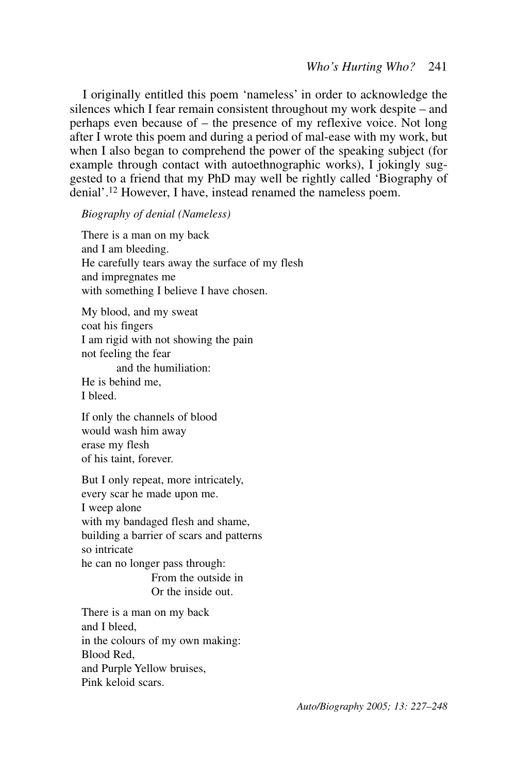I originally entitled this poem 'nameless' in order to acknowledge the silences which I fear remain consistent throughout my work despite – and perhaps even because of – the presence of my reflexive voice. Not long after I wrote this poem and during a period of mal-ease with my work, but when I also began to comprehend the power of the speaking subject (for example through contact with autoethnographic works), I jokingly suggested to a friend that my PhD may well be rightly called 'Biography of denial'.<sup>12</sup> However, I have, instead renamed the nameless poem.

## **Biography of denial (Nameless)**

There is a man on my back and I am bleeding. He carefully tears away the surface of my flesh and impregnates me with something I believe I have chosen.

My blood, and my sweat coat his fingers I am rigid with not showing the pain not feeling the fear and the humiliation: He is behind me. I bleed

If only the channels of blood would wash him away erase my flesh of his taint, forever.

But I only repeat, more intricately, every scar he made upon me. I ween alone with my bandaged flesh and shame, building a barrier of scars and patterns so intricate he can no longer pass through: From the outside in Or the inside out. There is a man on my back and I bleed, in the colours of my own making: Blood Red. and Purple Yellow bruises,

Pink keloid scars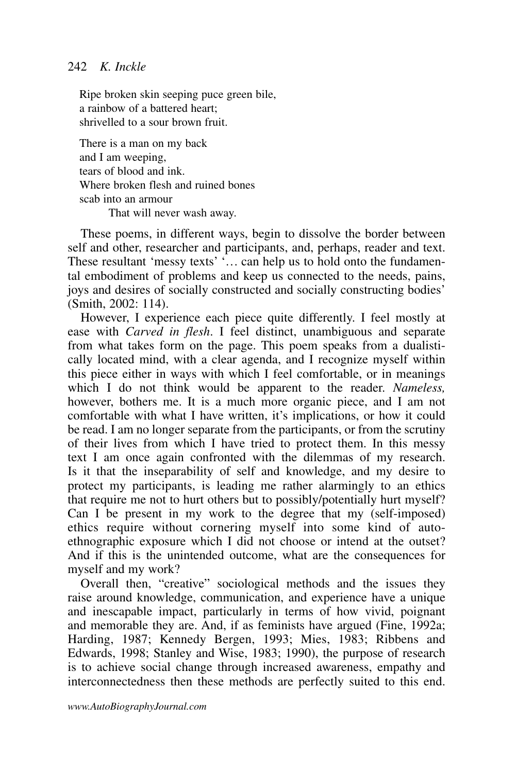# 242  $K$ . Inckle

Ripe broken skin seeping puce green bile, a rainbow of a battered heart: shrivelled to a sour brown fruit

There is a man on my back and I am weeping, tears of blood and ink Where broken flesh and ruined bones scab into an armour That will never wash away.

These poems, in different ways, begin to dissolve the border between self and other, researcher and participants, and, perhaps, reader and text. These resultant 'messy texts' ... can help us to hold onto the fundamental embodiment of problems and keep us connected to the needs, pains, joys and desires of socially constructed and socially constructing bodies'  $(Smith, 2002: 114)$ .

However, I experience each piece quite differently. I feel mostly at ease with *Carved in flesh*. I feel distinct, unambiguous and separate from what takes form on the page. This poem speaks from a dualistically located mind, with a clear agenda, and I recognize myself within this piece either in ways with which I feel comfortable, or in meanings which I do not think would be apparent to the reader. Nameless, however, bothers me. It is a much more organic piece, and I am not comfortable with what I have written, it's implications, or how it could be read. I am no longer separate from the participants, or from the scrutiny of their lives from which I have tried to protect them. In this messy text I am once again confronted with the dilemmas of my research. Is it that the inseparability of self and knowledge, and my desire to protect my participants, is leading me rather alarmingly to an ethics that require me not to hurt others but to possibly/potentially hurt myself? Can I be present in my work to the degree that my (self-imposed) ethics require without cornering myself into some kind of autoethnographic exposure which I did not choose or intend at the outset? And if this is the unintended outcome, what are the consequences for myself and my work?

Overall then, "creative" sociological methods and the issues they raise around knowledge, communication, and experience have a unique and inescapable impact, particularly in terms of how vivid, poignant and memorable they are. And, if as feminists have argued (Fine, 1992a; Harding, 1987; Kennedy Bergen, 1993; Mies, 1983; Ribbens and Edwards, 1998; Stanley and Wise, 1983; 1990), the purpose of research is to achieve social change through increased awareness, empathy and interconnectedness then these methods are perfectly suited to this end.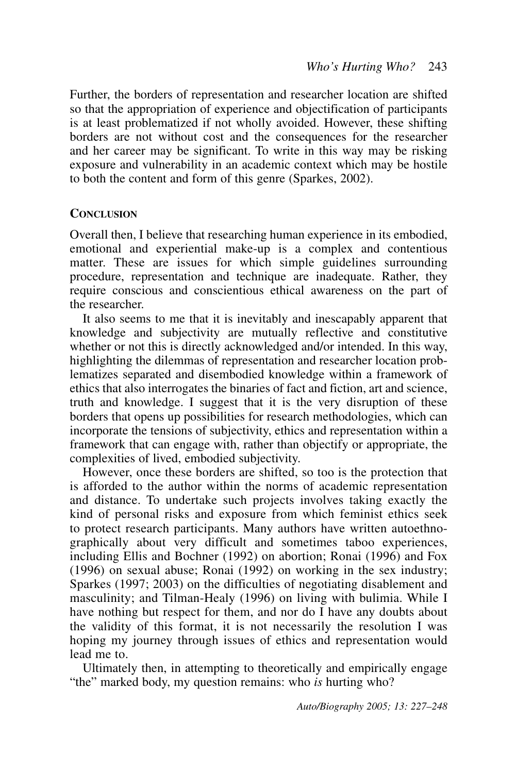Further, the borders of representation and researcher location are shifted so that the appropriation of experience and objectification of participants is at least problematized if not wholly avoided. However, these shifting borders are not without cost and the consequences for the researcher and her career may be significant. To write in this way may be risking exposure and vulnerability in an academic context which may be hostile to both the content and form of this genre (Sparkes, 2002).

## **CONCLUSION**

Overall then, I believe that researching human experience in its embodied, emotional and experiential make-up is a complex and contentious matter. These are issues for which simple guidelines surrounding procedure, representation and technique are inadequate. Rather, they require conscious and conscientious ethical awareness on the part of the researcher

It also seems to me that it is inevitably and inescapably apparent that knowledge and subjectivity are mutually reflective and constitutive whether or not this is directly acknowledged and/or intended. In this way, highlighting the dilemmas of representation and researcher location problematizes separated and disembodied knowledge within a framework of ethics that also interrogates the binaries of fact and fiction, art and science, truth and knowledge. I suggest that it is the very disruption of these borders that opens up possibilities for research methodologies, which can incorporate the tensions of subjectivity, ethics and representation within a framework that can engage with, rather than objectify or appropriate, the complexities of lived, embodied subjectivity.

However, once these borders are shifted, so too is the protection that is afforded to the author within the norms of academic representation and distance. To undertake such projects involves taking exactly the kind of personal risks and exposure from which feminist ethics seek to protect research participants. Many authors have written autoethnographically about very difficult and sometimes taboo experiences, including Ellis and Bochner (1992) on abortion; Ronai (1996) and Fox  $(1996)$  on sexual abuse; Ronai  $(1992)$  on working in the sex industry; Sparkes (1997; 2003) on the difficulties of negotiating disablement and masculinity; and Tilman-Healy (1996) on living with bulimia. While I<br>have nothing but respect for them, and nor do I have any doubts about the validity of this format, it is not necessarily the resolution I was hoping my journey through issues of ethics and representation would  $lead$  me to

Ultimately then, in attempting to theoretically and empirically engage "the" marked body, my question remains: who is hurting who?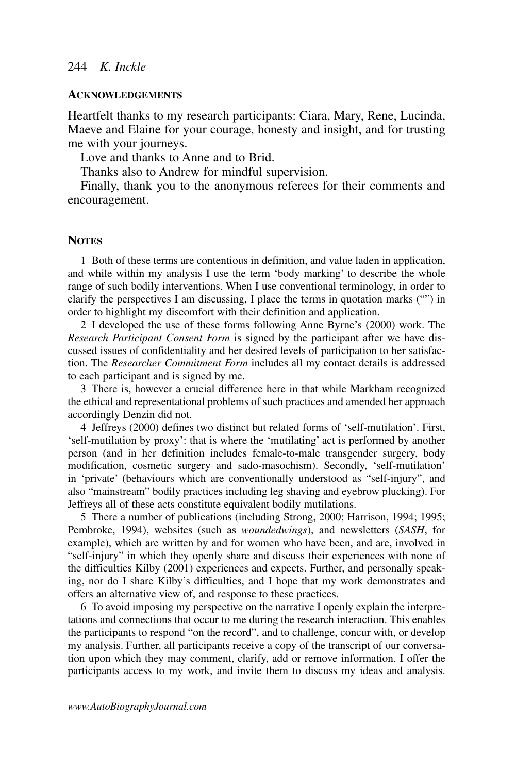## **ACKNOWLEDGEMENTS**

Heartfelt thanks to my research participants: Ciara, Mary, Rene, Lucinda, Maeve and Elaine for your courage, honesty and insight, and for trusting me with your journeys.

Love and thanks to Anne and to Brid.

Thanks also to Andrew for mindful supervision.

Finally, thank you to the anonymous referees for their comments and encouragement.

## **NOTES**

1 Both of these terms are contentious in definition, and value laden in application, and while within my analysis I use the term 'body marking' to describe the whole range of such bodily interventions. When I use conventional terminology, in order to clarify the perspectives I am discussing, I place the terms in quotation marks ("") in order to highlight my discomfort with their definition and application.

2 I developed the use of these forms following Anne Byrne's (2000) work. The Research Participant Consent Form is signed by the participant after we have discussed issues of confidentiality and her desired levels of participation to her satisfaction. The Researcher Commitment Form includes all my contact details is addressed to each participant and is signed by me.

3 There is, however a crucial difference here in that while Markham recognized the ethical and representational problems of such practices and amended her approach accordingly Denzin did not.

4 Jeffreys (2000) defines two distinct but related forms of 'self-mutilation'. First, 'self-mutilation by proxy': that is where the 'mutilating' act is performed by another person (and in her definition includes female-to-male transgender surgery, body modification, cosmetic surgery and sado-masochism). Secondly, 'self-mutilation' in 'private' (behaviours which are conventionally understood as "self-injury", and also "mainstream" bodily practices including leg shaving and eyebrow plucking). For Jeffreys all of these acts constitute equivalent bodily mutilations.

5 There a number of publications (including Strong, 2000; Harrison, 1994; 1995; Pembroke, 1994), websites (such as *woundedwings*), and newsletters (SASH, for example), which are written by and for women who have been, and are, involved in "self-injury" in which they openly share and discuss their experiences with none of the difficulties Kilby (2001) experiences and expects. Further, and personally speaking, nor do I share Kilby's difficulties, and I hope that my work demonstrates and offers an alternative view of, and response to these practices.

6 To avoid imposing my perspective on the narrative I openly explain the interpretations and connections that occur to me during the research interaction. This enables the participants to respond "on the record", and to challenge, concur with, or develop my analysis. Further, all participants receive a copy of the transcript of our conversation upon which they may comment, clarify, add or remove information. I offer the participants access to my work, and invite them to discuss my ideas and analysis.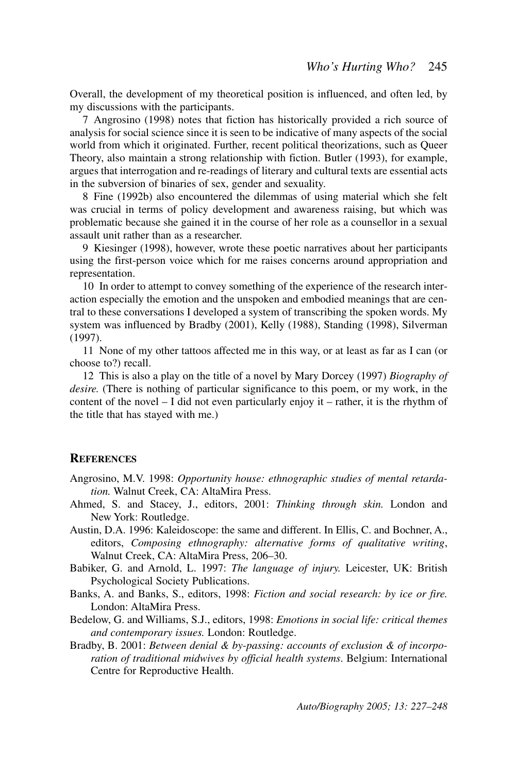Overall, the development of my theoretical position is influenced, and often led, by my discussions with the participants.

7 Angrosino (1998) notes that fiction has historically provided a rich source of analysis for social science since it is seen to be indicative of many aspects of the social world from which it originated. Further, recent political theorizations, such as Oueer Theory, also maintain a strong relationship with fiction. Butler (1993), for example, argues that interrogation and re-readings of literary and cultural texts are essential acts in the subversion of binaries of sex, gender and sexuality.

8 Fine (1992b) also encountered the dilemmas of using material which she felt was crucial in terms of policy development and awareness raising, but which was problematic because she gained it in the course of her role as a counsellor in a sexual assault unit rather than as a researcher.

9 Kiesinger (1998), however, wrote these poetic narratives about her participants using the first-person voice which for me raises concerns around appropriation and representation.

10 In order to attempt to convey something of the experience of the research interaction especially the emotion and the unspoken and embodied meanings that are central to these conversations I developed a system of transcribing the spoken words. My system was influenced by Bradby (2001), Kelly (1988), Standing (1998), Silverman  $(1997).$ 

11 None of my other tattoos affected me in this way, or at least as far as I can (or choose to?) recall.

12 This is also a play on the title of a novel by Mary Dorcey (1997) Biography of *desire.* (There is nothing of particular significance to this poem, or my work, in the content of the novel  $-$  I did not even particularly enjoy it  $-$  rather, it is the rhythm of the title that has stayed with me.)

## **REFERENCES**

- Angrosino, M.V. 1998: Opportunity house: ethnographic studies of mental retardation. Walnut Creek, CA: AltaMira Press.
- Ahmed, S. and Stacey, J., editors, 2001: Thinking through skin. London and New York: Routledge.
- Austin, D.A. 1996: Kaleidoscope: the same and different. In Ellis, C. and Bochner, A., editors, Composing ethnography: alternative forms of qualitative writing, Walnut Creek, CA: AltaMira Press, 206-30.
- Babiker, G. and Arnold, L. 1997: The language of injury. Leicester, UK: British Psychological Society Publications.
- Banks, A. and Banks, S., editors, 1998: Fiction and social research: by ice or fire. London: AltaMira Press.
- Bedelow, G. and Williams, S.J., editors, 1998: Emotions in social life: critical themes and contemporary issues. London: Routledge.
- Bradby, B. 2001: Between denial & by-passing: accounts of exclusion & of incorporation of traditional midwives by official health systems. Belgium: International Centre for Reproductive Health.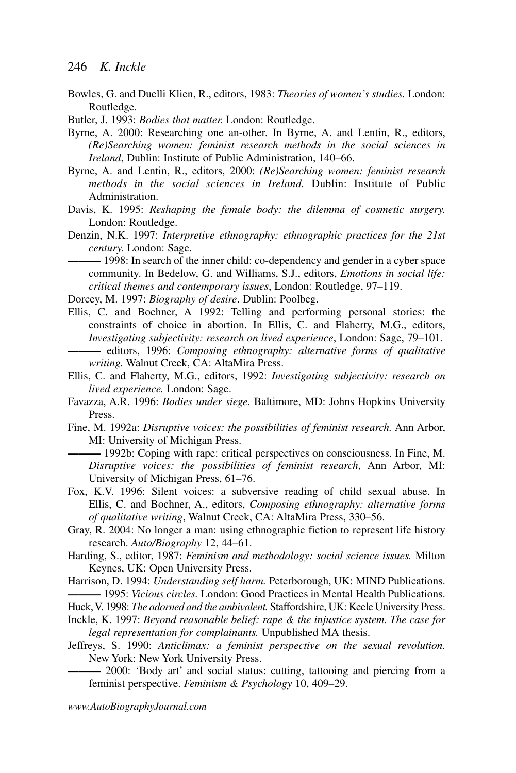- Bowles, G. and Duelli Klien, R., editors, 1983; *Theories of women's studies*. London: Routledge.
- Butler, J. 1993: Bodies that matter. London: Routledge.
- Byrne, A. 2000: Researching one an-other. In Byrne, A. and Lentin, R., editors, (Re)Searching women: feminist research methods in the social sciences in *Ireland*, Dublin: Institute of Public Administration, 140–66.
- Byrne, A. and Lentin, R., editors, 2000; (Re)Searching women: feminist research methods in the social sciences in Ireland. Dublin: Institute of Public Administration.
- Davis, K. 1995; Reshaping the female body; the dilemma of cosmetic surgery. London: Routledge.
- Denzin, N.K. 1997: Interpretive ethnography: ethnographic practices for the 21st century. London: Sage.

-1998: In search of the inner child: co-dependency and gender in a cyber space community. In Bedelow, G. and Williams, S.J., editors, Emotions in social life: critical themes and contemporary issues, London: Routledge, 97-119.

Dorcey, M. 1997: Biography of desire. Dublin: Poolbeg.

Ellis, C. and Bochner, A 1992: Telling and performing personal stories: the constraints of choice in abortion. In Ellis, C. and Flaherty, M.G., editors, Investigating subjectivity: research on lived experience, London: Sage, 79–101.

- Ellis, C. and Flaherty, M.G., editors, 1992: Investigating subjectivity: research on lived experience. London: Sage.
- Favazza, A.R. 1996: Bodies under siege. Baltimore, MD: Johns Hopkins University Press
- Fine, M. 1992a: Disruptive voices: the possibilities of feminist research. Ann Arbor, MI: University of Michigan Press.

-1992b: Coping with rape: critical perspectives on consciousness. In Fine, M. Disruptive voices: the possibilities of feminist research, Ann Arbor, MI: University of Michigan Press, 61–76.

- Fox, K.V. 1996: Silent voices: a subversive reading of child sexual abuse. In Ellis, C. and Bochner, A., editors, Composing ethnography: alternative forms of qualitative writing, Walnut Creek, CA: AltaMira Press, 330-56.
- Gray, R. 2004: No longer a man: using ethnographic fiction to represent life history research. Auto/Biography 12, 44–61.
- Harding, S., editor, 1987: Feminism and methodology: social science issues. Milton Keynes, UK: Open University Press.
- Harrison, D. 1994: Understanding self harm. Peterborough, UK: MIND Publications. -1995: Vicious circles, London: Good Practices in Mental Health Publications.

Huck, V. 1998: The adorned and the ambivalent. Staffordshire, UK: Keele University Press.

Inckle, K. 1997: Beyond reasonable belief: rape  $&$  the injustice system. The case for

legal representation for complainants. Unpublished MA thesis.

Jeffreys, S. 1990: Anticlimax: a feminist perspective on the sexual revolution. New York: New York University Press.

- 2000: 'Body art' and social status: cutting, tattooing and piercing from a feminist perspective. Feminism & Psychology 10, 409-29.

www.AutoBiographyJournal.com

<sup>-</sup> editors, 1996: Composing ethnography: alternative forms of qualitative writing. Walnut Creek, CA: AltaMira Press.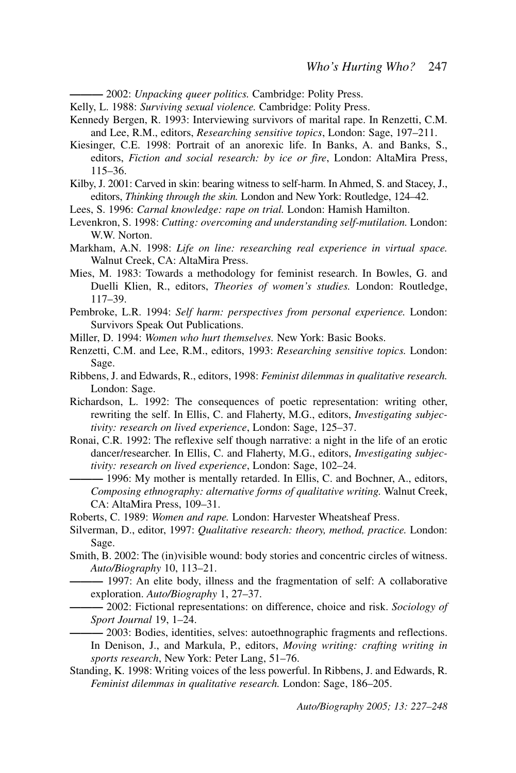- 2002: Unpacking queer politics. Cambridge: Polity Press.

- Kelly, L. 1988: Surviving sexual violence. Cambridge: Polity Press.
- Kennedy Bergen, R. 1993: Interviewing survivors of marital rape. In Renzetti, C.M. and Lee, R.M., editors, Researching sensitive topics, London: Sage, 197-211.
- Kiesinger, C.E. 1998: Portrait of an anorexic life. In Banks, A. and Banks, S., editors. Fiction and social research: by ice or fire, London: AltaMira Press,  $115 - 36$
- Kilby, J. 2001: Carved in skin: bearing witness to self-harm. In Ahmed, S. and Stacey, J., editors, Thinking through the skin. London and New York: Routledge, 124–42.
- Lees, S. 1996: Carnal knowledge: rape on trial. London: Hamish Hamilton.
- Levenkron, S. 1998: Cutting: overcoming and understanding self-mutilation. London: W.W. Norton.
- Markham, A.N. 1998: Life on line: researching real experience in virtual space. Walnut Creek, CA: AltaMira Press.
- Mies, M. 1983: Towards a methodology for feminist research. In Bowles, G. and Duelli Klien, R., editors, Theories of women's studies. London: Routledge,  $117 - 39$ .
- Pembroke, L.R. 1994: Self harm: perspectives from personal experience. London: Survivors Speak Out Publications.
- Miller, D. 1994: Women who hurt themselves. New York: Basic Books.
- Renzetti, C.M. and Lee, R.M., editors, 1993: Researching sensitive topics. London: Sage.
- Ribbens, J. and Edwards, R., editors, 1998: Feminist dilemmas in qualitative research. London: Sage.
- Richardson, L. 1992: The consequences of poetic representation: writing other, rewriting the self. In Ellis, C. and Flaherty, M.G., editors, Investigating subjectivity: research on lived experience, London: Sage, 125-37.
- Ronai, C.R. 1992: The reflexive self though narrative: a night in the life of an erotic dancer/researcher. In Ellis, C. and Flaherty, M.G., editors, Investigating subjectivity: research on lived experience, London: Sage, 102-24.
	- -1996: My mother is mentally retarded. In Ellis, C. and Bochner, A., editors, Composing ethnography: alternative forms of qualitative writing. Walnut Creek, CA: AltaMira Press, 109-31.
- Roberts, C. 1989: Women and rape. London: Harvester Wheatsheaf Press.
- Silverman, D., editor, 1997: *Qualitative research: theory, method, practice*. London: Sage.
- Smith, B. 2002: The (in) visible wound: body stories and concentric circles of witness. Auto/Biography 10, 113-21.
	- -1997: An elite body, illness and the fragmentation of self: A collaborative exploration. Auto/Biography 1, 27–37.
	- 2002: Fictional representations: on difference, choice and risk. Sociology of Sport Journal 19, 1-24.

-2003: Bodies, identities, selves: autoethnographic fragments and reflections. In Denison, J., and Markula, P., editors, Moving writing: crafting writing in sports research, New York: Peter Lang, 51-76.

Standing, K. 1998: Writing voices of the less powerful. In Ribbens, J. and Edwards, R. Feminist dilemmas in qualitative research. London: Sage, 186-205.